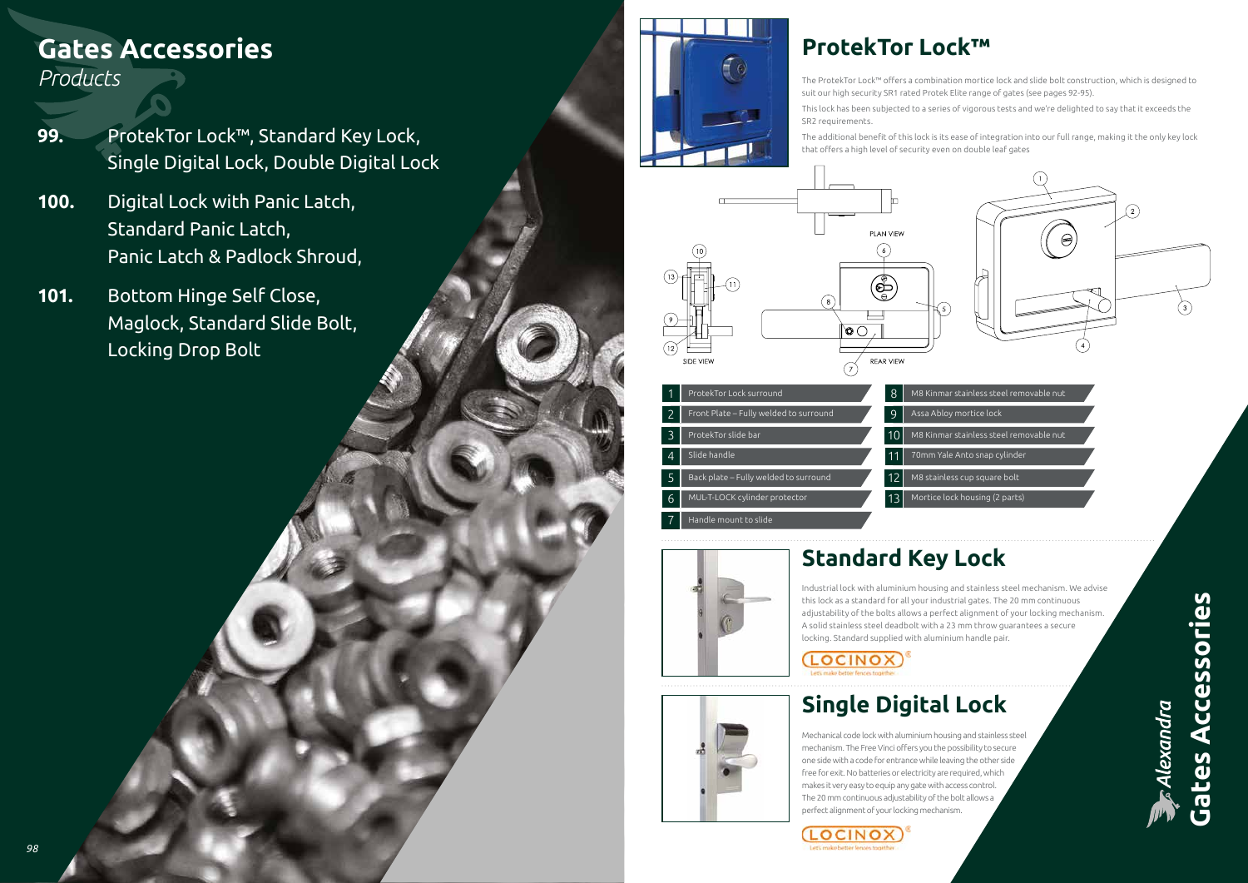

**Gates Accessories Gates Accessories**

**Alexandra** 

# **ProtekTor Lock™**

- The ProtekTor Lock™ offers a combination mortice lock and slide bolt construction, which is designed to suit our high security SR1 rated Protek Elite range of gates (see pages 92-95).
- This lock has been subjected to a series of vigorous tests and we're delighted to say that it exceeds the

| ar stainless steel removable nut |  |  |
|----------------------------------|--|--|
|                                  |  |  |

- 
- M8 Kinmar stainless steel removable nut
- 70mm Yale Anto snap cylinder
	-
	-

SR2 requirements.

The additional benefit of this lock is its ease of integration into our full range, making it the only key lock that offers a high level of security even on double leaf gates



**Standard Key Lock**

Industrial lock with aluminium housing and stainless steel mechanism. We advise this lock as a standard for all your industrial gates. The 20 mm continuous adjustability of the bolts allows a perfect alignment of your locking mechanism. A solid stainless steel deadbolt with a 23 mm throw guarantees a secure locking. Standard supplied with aluminium handle pair.



# **Single Digital Lock**

Mechanical code lock with aluminium housing and stainless steel mechanism. The Free Vinci offers you the possibility to secure one side with a code for entrance while leaving the other side free for exit. No batteries or electricity are required, which makes it very easy to equip any gate with access control. The 20 mm continuous adjustability of the bolt allows a perfect alignment of your locking mechanism.









# **Gates Accessories**

#### *Products*

- **99.** ProtekTor Lock™, Standard Key Lock, Single Digital Lock, Double Digital Lock
- **100.** Digital Lock with Panic Latch, Standard Panic Latch, Panic Latch & Padlock Shroud,
- **101.** Bottom Hinge Self Close, Maglock, Standard Slide Bolt, Locking Drop Bolt